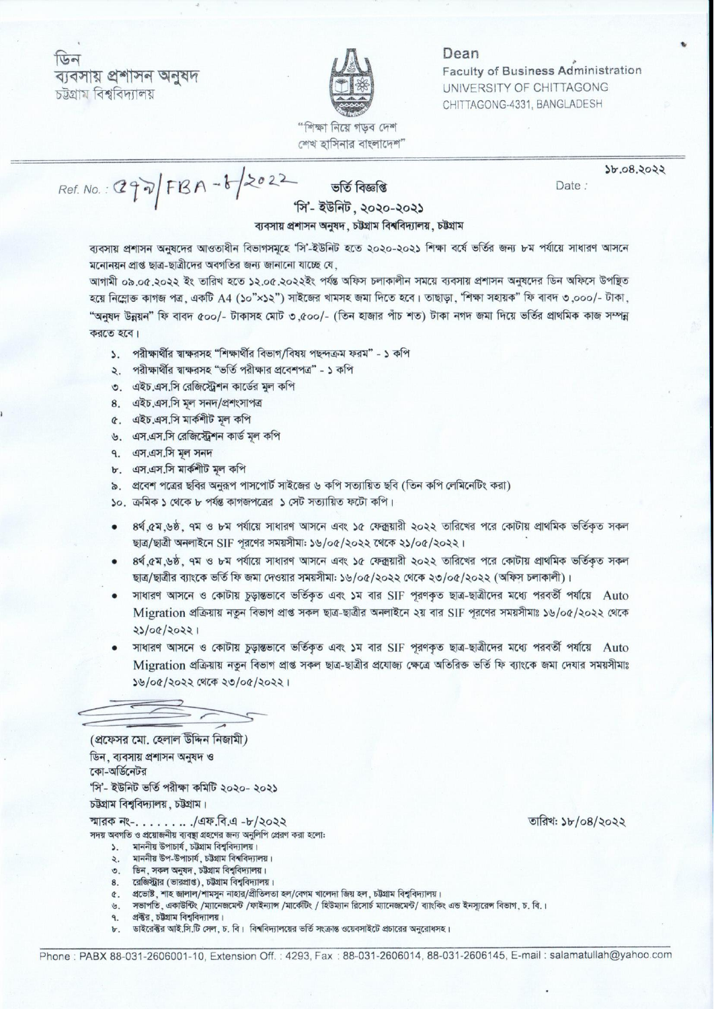ডিন ব্যবসায় প্ৰশাসন অনুষদ চউগ্ৰাম বিশ্ববিদ্যালয়



## Dean

**Faculty of Business Administration** UNIVERSITY OF CHITTAGONG CHITTAGONG-4331, BANGLADESH

Date:

"শিক্ষা নিয়ে গডব দেশ শেখ হাসিনার বাংলাদেশ"

 $Ref. No.: Q99/FBA - b2022$ 

ভৰ্তি বিজ্ঞপ্তি

 $2b.08.2022$ 

## 'সি'- ইউনিট. ২০২০-২০২১

## ব্যবসায় প্রশাসন অনুষদ, চউগ্রাম বিশ্ববিদ্যালয়, চউগ্রাম

ব্যবসায় প্রশাসন অনুষদের আওতাধীন বিভাগসমূহে 'সি'-ইউনিট হতে ২০২০-২০২১ শিক্ষা বর্ষে ভর্তির জন্য ৮ম পর্যায়ে সাধারণ আসনে মনোনয়ন প্রাপ্ত ছাত্র-ছাত্রীদের অবগতির জন্য জানানো যাচ্ছে যে,

আগামী ০৯.০৫.২০২২ ইং তারিখ হতে ১২.০৫.২০২২ইং পর্যন্ত অফিস চলাকালীন সময়ে ব্যবসায় প্রশাসন অনুষদের ডিন অফিসে উপয়িত হয়ে নিম্লোক্ত কাগজ পত্র, একটি A4 (১০"×১২") সাইজের খামসহ জমা দিতে হবে। তাছাড়া, 'শিক্ষা সহায়ক" ফি বাবদ ৩.০০০/- টাকা, "অনুষদ উন্নয়ন" ফি বাবদ ৫০০/- টাকাসহ মোট ৩,৫০০/- (তিন হাজার পাঁচ শত) টাকা নগদ জমা দিয়ে ভর্তির প্রাথমিক কাজ সম্পন্ন করতে হবে।

- ১. পরীক্ষার্থীর শ্বাক্ষরসহ "শিক্ষার্থীর বিভাগ/বিষয় পছন্দক্রম ফরম" ১ কপি
- ২. পরীক্ষার্থীর শ্বাক্ষরসহ "ভর্তি পরীক্ষার প্রবেশপত্র" ১ কপি
- ৩. এইচ.এস.সি রেজিস্ট্রেশন কার্ডের মূল কপি
- 8. এইচ.এস.সি মল সনদ/প্ৰশংসাপত্ৰ
- ৫. এইচ.এস.সি মার্কশীট মূল কপি
- ৬. এস.এস.সি রেজিস্ট্রেশন কার্ড মূল কপি
- 9.  $47.47.77$   $\frac{1}{7}$   $\frac{1}{7}$
- ৮. এস.এস.সি মার্কশীট মল কপি
- ৯. প্রবেশ পত্রের ছবির অনুরূপ পাসপোর্ট সাইজের ৬ কপি সত্যায়িত ছবি (তিন কপি লেমিনেটিং করা)
- ১০. ক্রমিক ১ থেকে ৮ পর্যন্ত কাগজপত্রের ১ সেট সত্যায়িত ফটো কপি।
- ৪র্থ ৫ম.৬ষ্ঠ, ৭ম ও ৮ম পর্যায়ে সাধারণ আসনে এবং ১৫ ফেক্সয়ারী ২০২২ তারিখের পরে কোটায় প্রাথমিক ভর্তিকত সকল ছাত্র/ছাত্রী অনলাইনে SIF পূরণের সময়সীমা: ১৬/০৫/২০২২ থেকে ২১/০৫/২০২২।
- ৪র্থ ৫ম.৬ষ্ঠ, ৭ম ও ৮ম পর্যায়ে সাধারণ আসনে এবং ১৫ ফেক্কয়ারী ২০২২ তারিখের পরে কোটায় প্রাথমিক ভর্তিকত সকল ছাত্র/ছাত্রীর ব্যাংকে ভর্তি ফি জমা দেওয়ার সময়সীমা: ১৬/০৫/২০২২ থেকে ২৩/০৫/২০২২ (অফিস চলাকালী)।
- সাধারণ আসনে ও কোটায় চূড়ান্তভাবে ভর্তিকৃত এবং ১ম বার SIF পূরণকৃত ছাত্র-ছাত্রীদের মধ্যে পরবর্তী পর্যায়ে Auto Migration প্রক্রিয়ায় নতন বিভাগ প্রাপ্ত সকল ছাত্র-ছাত্রীর অনলাইনে ২য় বার SIF পরণের সময়সীমাঃ ১৬/০৫/২০২২ থেকে 23/08/20221
- সাধারণ আসনে ও কোটায় চূড়ান্তভাবে ভর্তিকৃত এবং ১ম বার SIF পূরণকৃত ছাত্র-ছাত্রীদের মধ্যে পরবর্তী পর্যায়ে Auto Migration প্রক্রিয়ায় নতুন বিভাগ প্রাপ্ত সকল ছাত্র-ছাত্রীর প্রযোজ্য ক্ষেত্রে অতিরিক্ত ভর্তি ফি ব্যাংকে জমা দেযার সময়সীমাঃ ১৬/০৫/২০২২ থেকে ২৩/০৫/২০২২।

(প্রফেসর মো. হেলাল উদ্দিন নিজামী) ডিন, ব্যবসায় প্রশাসন অনুষদ ও কো-অর্ডিনেটর 'সি'- ইউনিট ভৰ্তি পরীক্ষা কমিটি ২০২০- ২০২১

চউগ্রাম বিশ্ববিদ্যালয়, চউগ্রাম।

স্মারক নং- $\ldots \ldots$  /এফ.বি.এ -৮/২০২২ সদয় অবগতি ও প্রয়োজনীয় ব্যবস্থা গ্রহণের জন্য অনুলিপি প্রেরণ করা হলো:

- ১. মাননীয় উপাচার্য, চউগ্রাম বিশ্ববিদ্যালয়।
- ২. মাননীয় উপ-উপাচার্য, চট্টগ্রাম বিশ্ববিদ্যালয়।
- ৩. ডিন, সকল অনুষদ, চট্টগ্রাম বিশ্ববিদ্যালয়।
- 
- ৪. রেজিস্ট্রার (ভারপ্রাপ্ত), চট্টগ্রাম বিশ্ববিদ্যালয়।<br>৫. প্রভোষ্ট, শাহ জালাল/শামসুন নাহার/প্রীতিলতা হল/বেগম খালেদা জিয় হল, চট্টগ্রাম বিশ্ববিদ্যালয়।
- ৬. সভাপতি, একাউন্টিং /ম্যানেজমেন্ট /ফাইন্যান্স /মার্কেটিং / হিউম্যান রিসোর্চ ম্যানেজমেন্ট/ ব্যাংকিং এন্ড ইনস্যরেন্স বিভাগ, চ. বি.।
- প্রক্টর, চট্টগ্রাম বিশ্ববিদ্যালয়। 9.
- ডাইরেক্টর আই.সি.টি সেল, চ. বি। বিশ্ববিদ্যালয়ের ভর্তি সংক্রান্ত ওয়েবসাইটে প্রচারের অনুরোধসহ। Ъ.

তারিখ: ১৮/০৪/২০২২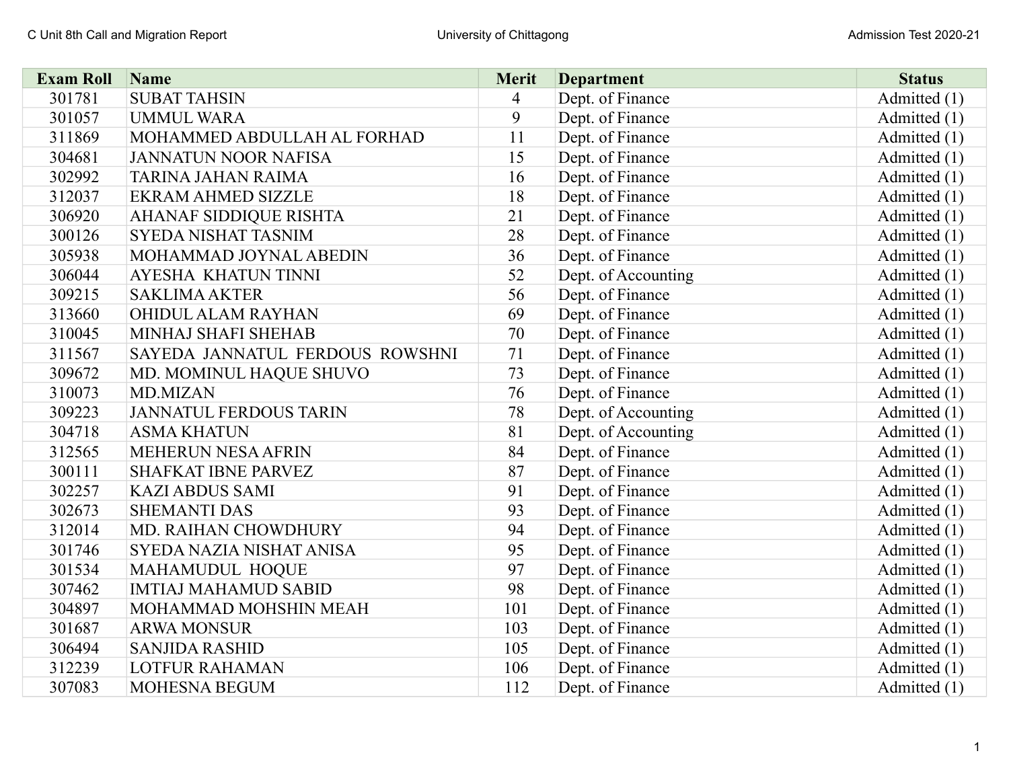| <b>Exam Roll</b> | Name                            | <b>Merit</b>   | <b>Department</b>   | <b>Status</b> |
|------------------|---------------------------------|----------------|---------------------|---------------|
| 301781           | <b>SUBAT TAHSIN</b>             | $\overline{4}$ | Dept. of Finance    | Admitted (1)  |
| 301057           | <b>UMMUL WARA</b>               | 9              | Dept. of Finance    | Admitted (1)  |
| 311869           | MOHAMMED ABDULLAH AL FORHAD     | 11             | Dept. of Finance    | Admitted (1)  |
| 304681           | <b>JANNATUN NOOR NAFISA</b>     | 15             | Dept. of Finance    | Admitted (1)  |
| 302992           | <b>TARINA JAHAN RAIMA</b>       | 16             | Dept. of Finance    | Admitted (1)  |
| 312037           | <b>EKRAM AHMED SIZZLE</b>       | 18             | Dept. of Finance    | Admitted (1)  |
| 306920           | <b>AHANAF SIDDIQUE RISHTA</b>   | 21             | Dept. of Finance    | Admitted (1)  |
| 300126           | SYEDA NISHAT TASNIM             | 28             | Dept. of Finance    | Admitted (1)  |
| 305938           | MOHAMMAD JOYNAL ABEDIN          | 36             | Dept. of Finance    | Admitted (1)  |
| 306044           | AYESHA KHATUN TINNI             | 52             | Dept. of Accounting | Admitted (1)  |
| 309215           | <b>SAKLIMA AKTER</b>            | 56             | Dept. of Finance    | Admitted (1)  |
| 313660           | OHIDUL ALAM RAYHAN              | 69             | Dept. of Finance    | Admitted (1)  |
| 310045           | MINHAJ SHAFI SHEHAB             | 70             | Dept. of Finance    | Admitted (1)  |
| 311567           | SAYEDA JANNATUL FERDOUS ROWSHNI | 71             | Dept. of Finance    | Admitted (1)  |
| 309672           | MD. MOMINUL HAQUE SHUVO         | 73             | Dept. of Finance    | Admitted (1)  |
| 310073           | <b>MD.MIZAN</b>                 | 76             | Dept. of Finance    | Admitted (1)  |
| 309223           | <b>JANNATUL FERDOUS TARIN</b>   | 78             | Dept. of Accounting | Admitted (1)  |
| 304718           | <b>ASMA KHATUN</b>              | 81             | Dept. of Accounting | Admitted (1)  |
| 312565           | <b>MEHERUN NESA AFRIN</b>       | 84             | Dept. of Finance    | Admitted (1)  |
| 300111           | <b>SHAFKAT IBNE PARVEZ</b>      | 87             | Dept. of Finance    | Admitted (1)  |
| 302257           | <b>KAZI ABDUS SAMI</b>          | 91             | Dept. of Finance    | Admitted (1)  |
| 302673           | <b>SHEMANTI DAS</b>             | 93             | Dept. of Finance    | Admitted (1)  |
| 312014           | MD. RAIHAN CHOWDHURY            | 94             | Dept. of Finance    | Admitted (1)  |
| 301746           | SYEDA NAZIA NISHAT ANISA        | 95             | Dept. of Finance    | Admitted (1)  |
| 301534           | MAHAMUDUL HOQUE                 | 97             | Dept. of Finance    | Admitted (1)  |
| 307462           | <b>IMTIAJ MAHAMUD SABID</b>     | 98             | Dept. of Finance    | Admitted (1)  |
| 304897           | MOHAMMAD MOHSHIN MEAH           | 101            | Dept. of Finance    | Admitted (1)  |
| 301687           | <b>ARWA MONSUR</b>              | 103            | Dept. of Finance    | Admitted (1)  |
| 306494           | <b>SANJIDA RASHID</b>           | 105            | Dept. of Finance    | Admitted (1)  |
| 312239           | <b>LOTFUR RAHAMAN</b>           | 106            | Dept. of Finance    | Admitted (1)  |
| 307083           | <b>MOHESNA BEGUM</b>            | 112            | Dept. of Finance    | Admitted (1)  |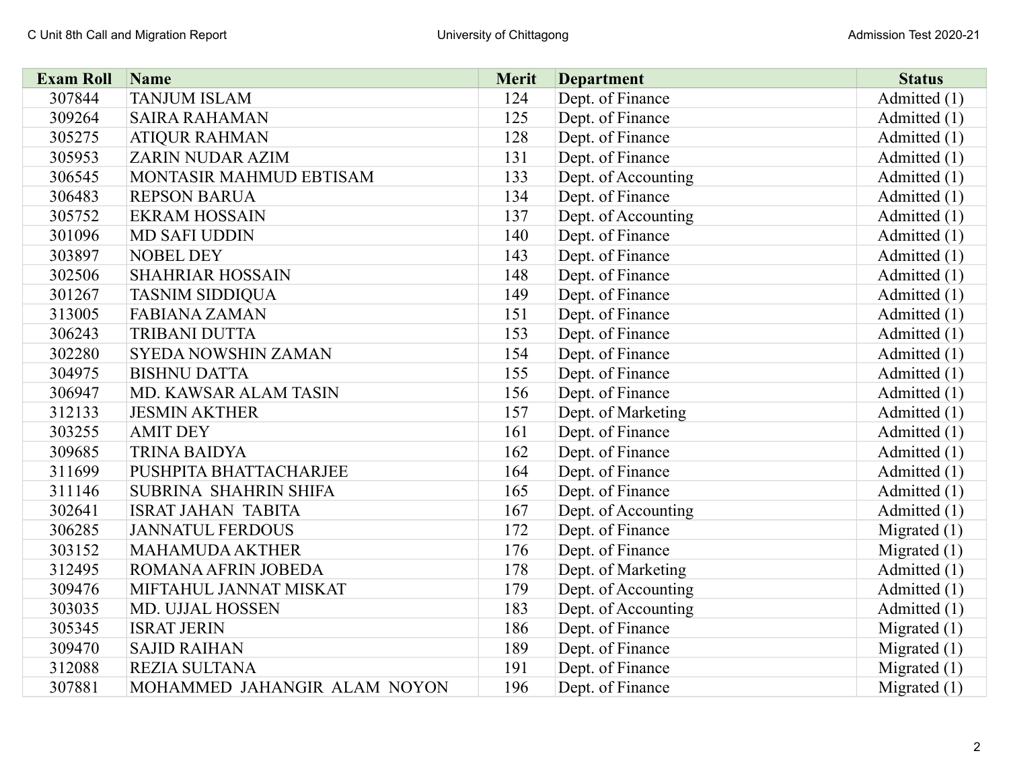| <b>Exam Roll</b> | Name                         | Merit | <b>Department</b>   | <b>Status</b>  |
|------------------|------------------------------|-------|---------------------|----------------|
| 307844           | <b>TANJUM ISLAM</b>          | 124   | Dept. of Finance    | Admitted (1)   |
| 309264           | <b>SAIRA RAHAMAN</b>         | 125   | Dept. of Finance    | Admitted (1)   |
| 305275           | <b>ATIQUR RAHMAN</b>         | 128   | Dept. of Finance    | Admitted (1)   |
| 305953           | <b>ZARIN NUDAR AZIM</b>      | 131   | Dept. of Finance    | Admitted (1)   |
| 306545           | MONTASIR MAHMUD EBTISAM      | 133   | Dept. of Accounting | Admitted (1)   |
| 306483           | <b>REPSON BARUA</b>          | 134   | Dept. of Finance    | Admitted (1)   |
| 305752           | <b>EKRAM HOSSAIN</b>         | 137   | Dept. of Accounting | Admitted (1)   |
| 301096           | <b>MD SAFI UDDIN</b>         | 140   | Dept. of Finance    | Admitted (1)   |
| 303897           | NOBEL DEY                    | 143   | Dept. of Finance    | Admitted (1)   |
| 302506           | <b>SHAHRIAR HOSSAIN</b>      | 148   | Dept. of Finance    | Admitted (1)   |
| 301267           | <b>TASNIM SIDDIQUA</b>       | 149   | Dept. of Finance    | Admitted (1)   |
| 313005           | <b>FABIANA ZAMAN</b>         | 151   | Dept. of Finance    | Admitted (1)   |
| 306243           | <b>TRIBANI DUTTA</b>         | 153   | Dept. of Finance    | Admitted (1)   |
| 302280           | <b>SYEDA NOWSHIN ZAMAN</b>   | 154   | Dept. of Finance    | Admitted (1)   |
| 304975           | <b>BISHNU DATTA</b>          | 155   | Dept. of Finance    | Admitted (1)   |
| 306947           | MD. KAWSAR ALAM TASIN        | 156   | Dept. of Finance    | Admitted (1)   |
| 312133           | <b>JESMIN AKTHER</b>         | 157   | Dept. of Marketing  | Admitted (1)   |
| 303255           | <b>AMIT DEY</b>              | 161   | Dept. of Finance    | Admitted (1)   |
| 309685           | <b>TRINA BAIDYA</b>          | 162   | Dept. of Finance    | Admitted (1)   |
| 311699           | PUSHPITA BHATTACHARJEE       | 164   | Dept. of Finance    | Admitted (1)   |
| 311146           | SUBRINA SHAHRIN SHIFA        | 165   | Dept. of Finance    | Admitted (1)   |
| 302641           | <b>ISRAT JAHAN TABITA</b>    | 167   | Dept. of Accounting | Admitted (1)   |
| 306285           | <b>JANNATUL FERDOUS</b>      | 172   | Dept. of Finance    | Migrated $(1)$ |
| 303152           | <b>MAHAMUDA AKTHER</b>       | 176   | Dept. of Finance    | Migrated $(1)$ |
| 312495           | ROMANA AFRIN JOBEDA          | 178   | Dept. of Marketing  | Admitted (1)   |
| 309476           | MIFTAHUL JANNAT MISKAT       | 179   | Dept. of Accounting | Admitted (1)   |
| 303035           | MD. UJJAL HOSSEN             | 183   | Dept. of Accounting | Admitted (1)   |
| 305345           | <b>ISRAT JERIN</b>           | 186   | Dept. of Finance    | Migrated $(1)$ |
| 309470           | <b>SAJID RAIHAN</b>          | 189   | Dept. of Finance    | Migrated $(1)$ |
| 312088           | REZIA SULTANA                | 191   | Dept. of Finance    | Migrated $(1)$ |
| 307881           | MOHAMMED JAHANGIR ALAM NOYON | 196   | Dept. of Finance    | Migrated $(1)$ |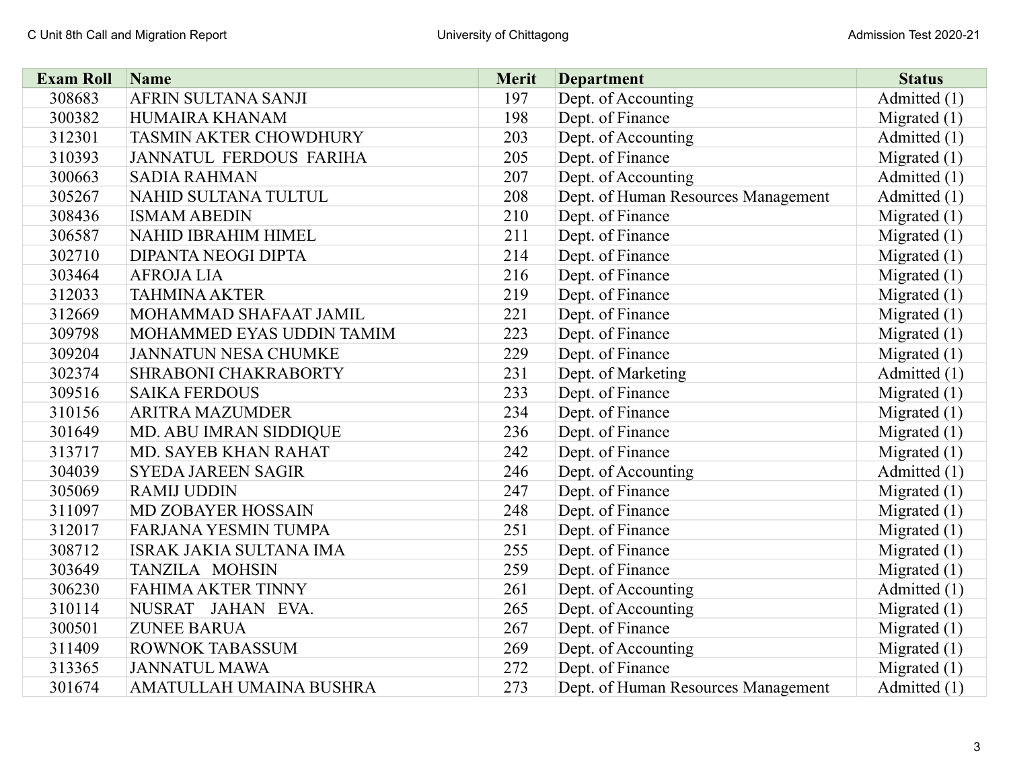| <b>Exam Roll</b> | Name                           | <b>Merit</b> | <b>Department</b>                   | <b>Status</b>  |
|------------------|--------------------------------|--------------|-------------------------------------|----------------|
| 308683           | AFRIN SULTANA SANJI            | 197          | Dept. of Accounting                 | Admitted (1)   |
| 300382           | HUMAIRA KHANAM                 | 198          | Dept. of Finance                    | Migrated $(1)$ |
| 312301           | <b>TASMIN AKTER CHOWDHURY</b>  | 203          | Dept. of Accounting                 | Admitted (1)   |
| 310393           | <b>JANNATUL FERDOUS FARIHA</b> | 205          | Dept. of Finance                    | Migrated $(1)$ |
| 300663           | <b>SADIA RAHMAN</b>            | 207          | Dept. of Accounting                 | Admitted (1)   |
| 305267           | NAHID SULTANA TULTUL           | 208          | Dept. of Human Resources Management | Admitted (1)   |
| 308436           | <b>ISMAM ABEDIN</b>            | 210          | Dept. of Finance                    | Migrated $(1)$ |
| 306587           | NAHID IBRAHIM HIMEL            | 211          | Dept. of Finance                    | Migrated $(1)$ |
| 302710           | DIPANTA NEOGI DIPTA            | 214          | Dept. of Finance                    | Migrated $(1)$ |
| 303464           | <b>AFROJALIA</b>               | 216          | Dept. of Finance                    | Migrated $(1)$ |
| 312033           | <b>TAHMINA AKTER</b>           | 219          | Dept. of Finance                    | Migrated $(1)$ |
| 312669           | MOHAMMAD SHAFAAT JAMIL         | 221          | Dept. of Finance                    | Migrated $(1)$ |
| 309798           | MOHAMMED EYAS UDDIN TAMIM      | 223          | Dept. of Finance                    | Migrated $(1)$ |
| 309204           | <b>JANNATUN NESA CHUMKE</b>    | 229          | Dept. of Finance                    | Migrated $(1)$ |
| 302374           | SHRABONI CHAKRABORTY           | 231          | Dept. of Marketing                  | Admitted (1)   |
| 309516           | <b>SAIKA FERDOUS</b>           | 233          | Dept. of Finance                    | Migrated $(1)$ |
| 310156           | <b>ARITRA MAZUMDER</b>         | 234          | Dept. of Finance                    | Migrated $(1)$ |
| 301649           | MD. ABU IMRAN SIDDIQUE         | 236          | Dept. of Finance                    | Migrated $(1)$ |
| 313717           | <b>MD. SAYEB KHAN RAHAT</b>    | 242          | Dept. of Finance                    | Migrated $(1)$ |
| 304039           | <b>SYEDA JAREEN SAGIR</b>      | 246          | Dept. of Accounting                 | Admitted (1)   |
| 305069           | <b>RAMIJ UDDIN</b>             | 247          | Dept. of Finance                    | Migrated $(1)$ |
| 311097           | <b>MD ZOBAYER HOSSAIN</b>      | 248          | Dept. of Finance                    | Migrated $(1)$ |
| 312017           | <b>FARJANA YESMIN TUMPA</b>    | 251          | Dept. of Finance                    | Migrated $(1)$ |
| 308712           | ISRAK JAKIA SULTANA IMA        | 255          | Dept. of Finance                    | Migrated $(1)$ |
| 303649           | TANZILA MOHSIN                 | 259          | Dept. of Finance                    | Migrated $(1)$ |
| 306230           | <b>FAHIMA AKTER TINNY</b>      | 261          | Dept. of Accounting                 | Admitted (1)   |
| 310114           | NUSRAT JAHAN EVA.              | 265          | Dept. of Accounting                 | Migrated $(1)$ |
| 300501           | <b>ZUNEE BARUA</b>             | 267          | Dept. of Finance                    | Migrated $(1)$ |
| 311409           | <b>ROWNOK TABASSUM</b>         | 269          | Dept. of Accounting                 | Migrated $(1)$ |
| 313365           | <b>JANNATUL MAWA</b>           | 272          | Dept. of Finance                    | Migrated $(1)$ |
| 301674           | AMATULLAH UMAINA BUSHRA        | 273          | Dept. of Human Resources Management | Admitted (1)   |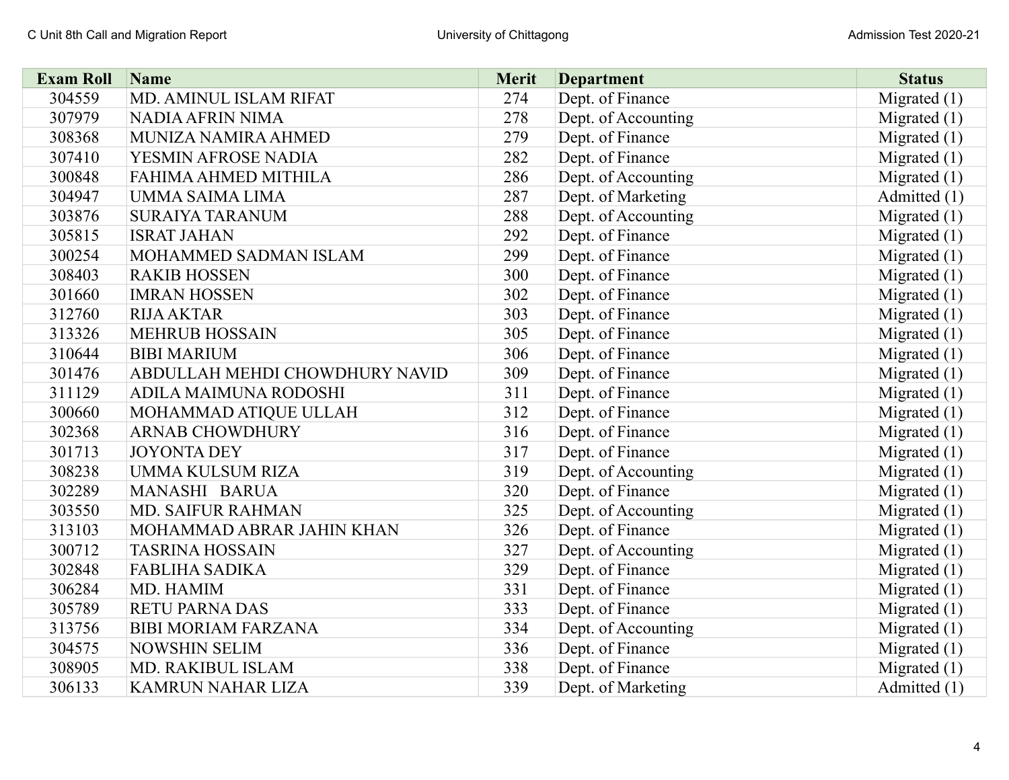| <b>Exam Roll</b> | Name                           | <b>Merit</b> | <b>Department</b>   | <b>Status</b>  |
|------------------|--------------------------------|--------------|---------------------|----------------|
| 304559           | MD. AMINUL ISLAM RIFAT         | 274          | Dept. of Finance    | Migrated $(1)$ |
| 307979           | NADIA AFRIN NIMA               | 278          | Dept. of Accounting | Migrated $(1)$ |
| 308368           | MUNIZA NAMIRA AHMED            | 279          | Dept. of Finance    | Migrated $(1)$ |
| 307410           | YESMIN AFROSE NADIA            | 282          | Dept. of Finance    | Migrated $(1)$ |
| 300848           | FAHIMA AHMED MITHILA           | 286          | Dept. of Accounting | Migrated $(1)$ |
| 304947           | UMMA SAIMA LIMA                | 287          | Dept. of Marketing  | Admitted (1)   |
| 303876           | <b>SURAIYA TARANUM</b>         | 288          | Dept. of Accounting | Migrated $(1)$ |
| 305815           | <b>ISRAT JAHAN</b>             | 292          | Dept. of Finance    | Migrated $(1)$ |
| 300254           | MOHAMMED SADMAN ISLAM          | 299          | Dept. of Finance    | Migrated $(1)$ |
| 308403           | <b>RAKIB HOSSEN</b>            | 300          | Dept. of Finance    | Migrated $(1)$ |
| 301660           | <b>IMRAN HOSSEN</b>            | 302          | Dept. of Finance    | Migrated $(1)$ |
| 312760           | <b>RIJA AKTAR</b>              | 303          | Dept. of Finance    | Migrated $(1)$ |
| 313326           | <b>MEHRUB HOSSAIN</b>          | 305          | Dept. of Finance    | Migrated $(1)$ |
| 310644           | <b>BIBI MARIUM</b>             | 306          | Dept. of Finance    | Migrated $(1)$ |
| 301476           | ABDULLAH MEHDI CHOWDHURY NAVID | 309          | Dept. of Finance    | Migrated $(1)$ |
| 311129           | ADILA MAIMUNA RODOSHI          | 311          | Dept. of Finance    | Migrated $(1)$ |
| 300660           | MOHAMMAD ATIQUE ULLAH          | 312          | Dept. of Finance    | Migrated $(1)$ |
| 302368           | <b>ARNAB CHOWDHURY</b>         | 316          | Dept. of Finance    | Migrated (1)   |
| 301713           | <b>JOYONTA DEY</b>             | 317          | Dept. of Finance    | Migrated $(1)$ |
| 308238           | <b>UMMA KULSUM RIZA</b>        | 319          | Dept. of Accounting | Migrated $(1)$ |
| 302289           | MANASHI BARUA                  | 320          | Dept. of Finance    | Migrated $(1)$ |
| 303550           | <b>MD. SAIFUR RAHMAN</b>       | 325          | Dept. of Accounting | Migrated $(1)$ |
| 313103           | MOHAMMAD ABRAR JAHIN KHAN      | 326          | Dept. of Finance    | Migrated $(1)$ |
| 300712           | <b>TASRINA HOSSAIN</b>         | 327          | Dept. of Accounting | Migrated $(1)$ |
| 302848           | <b>FABLIHA SADIKA</b>          | 329          | Dept. of Finance    | Migrated $(1)$ |
| 306284           | MD. HAMIM                      | 331          | Dept. of Finance    | Migrated $(1)$ |
| 305789           | <b>RETU PARNA DAS</b>          | 333          | Dept. of Finance    | Migrated $(1)$ |
| 313756           | <b>BIBI MORIAM FARZANA</b>     | 334          | Dept. of Accounting | Migrated $(1)$ |
| 304575           | <b>NOWSHIN SELIM</b>           | 336          | Dept. of Finance    | Migrated $(1)$ |
| 308905           | MD. RAKIBUL ISLAM              | 338          | Dept. of Finance    | Migrated $(1)$ |
| 306133           | <b>KAMRUN NAHAR LIZA</b>       | 339          | Dept. of Marketing  | Admitted (1)   |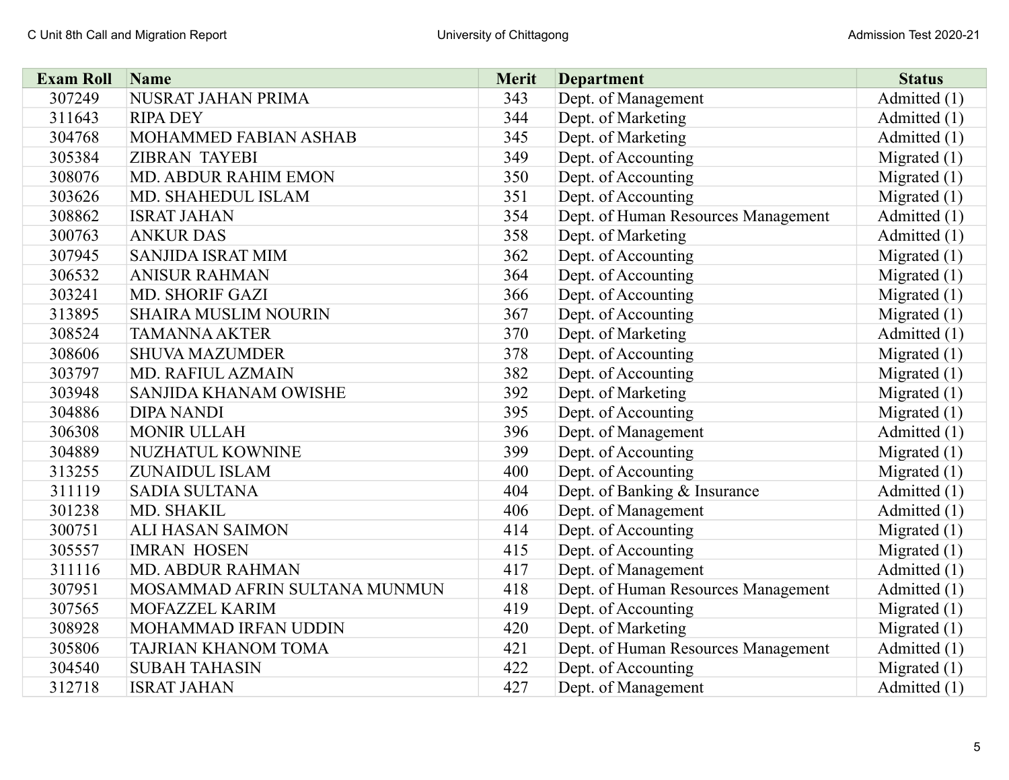| <b>Exam Roll</b> | Name                          | <b>Merit</b> | <b>Department</b>                   | <b>Status</b>  |
|------------------|-------------------------------|--------------|-------------------------------------|----------------|
| 307249           | NUSRAT JAHAN PRIMA            | 343          | Dept. of Management                 | Admitted (1)   |
| 311643           | <b>RIPA DEY</b>               | 344          | Dept. of Marketing                  | Admitted (1)   |
| 304768           | MOHAMMED FABIAN ASHAB         | 345          | Dept. of Marketing                  | Admitted (1)   |
| 305384           | <b>ZIBRAN TAYEBI</b>          | 349          | Dept. of Accounting                 | Migrated $(1)$ |
| 308076           | <b>MD. ABDUR RAHIM EMON</b>   | 350          | Dept. of Accounting                 | Migrated $(1)$ |
| 303626           | MD. SHAHEDUL ISLAM            | 351          | Dept. of Accounting                 | Migrated $(1)$ |
| 308862           | <b>ISRAT JAHAN</b>            | 354          | Dept. of Human Resources Management | Admitted (1)   |
| 300763           | <b>ANKUR DAS</b>              | 358          | Dept. of Marketing                  | Admitted (1)   |
| 307945           | <b>SANJIDA ISRAT MIM</b>      | 362          | Dept. of Accounting                 | Migrated $(1)$ |
| 306532           | <b>ANISUR RAHMAN</b>          | 364          | Dept. of Accounting                 | Migrated $(1)$ |
| 303241           | <b>MD. SHORIF GAZI</b>        | 366          | Dept. of Accounting                 | Migrated $(1)$ |
| 313895           | <b>SHAIRA MUSLIM NOURIN</b>   | 367          | Dept. of Accounting                 | Migrated $(1)$ |
| 308524           | <b>TAMANNA AKTER</b>          | 370          | Dept. of Marketing                  | Admitted (1)   |
| 308606           | <b>SHUVA MAZUMDER</b>         | 378          | Dept. of Accounting                 | Migrated $(1)$ |
| 303797           | MD. RAFIUL AZMAIN             | 382          | Dept. of Accounting                 | Migrated $(1)$ |
| 303948           | SANJIDA KHANAM OWISHE         | 392          | Dept. of Marketing                  | Migrated $(1)$ |
| 304886           | <b>DIPA NANDI</b>             | 395          | Dept. of Accounting                 | Migrated $(1)$ |
| 306308           | <b>MONIR ULLAH</b>            | 396          | Dept. of Management                 | Admitted (1)   |
| 304889           | <b>NUZHATUL KOWNINE</b>       | 399          | Dept. of Accounting                 | Migrated $(1)$ |
| 313255           | <b>ZUNAIDUL ISLAM</b>         | 400          | Dept. of Accounting                 | Migrated $(1)$ |
| 311119           | <b>SADIA SULTANA</b>          | 404          | Dept. of Banking & Insurance        | Admitted (1)   |
| 301238           | MD. SHAKIL                    | 406          | Dept. of Management                 | Admitted (1)   |
| 300751           | <b>ALI HASAN SAIMON</b>       | 414          | Dept. of Accounting                 | Migrated $(1)$ |
| 305557           | <b>IMRAN HOSEN</b>            | 415          | Dept. of Accounting                 | Migrated $(1)$ |
| 311116           | <b>MD. ABDUR RAHMAN</b>       | 417          | Dept. of Management                 | Admitted (1)   |
| 307951           | MOSAMMAD AFRIN SULTANA MUNMUN | 418          | Dept. of Human Resources Management | Admitted (1)   |
| 307565           | MOFAZZEL KARIM                | 419          | Dept. of Accounting                 | Migrated $(1)$ |
| 308928           | MOHAMMAD IRFAN UDDIN          | 420          | Dept. of Marketing                  | Migrated $(1)$ |
| 305806           | TAJRIAN KHANOM TOMA           | 421          | Dept. of Human Resources Management | Admitted (1)   |
| 304540           | <b>SUBAH TAHASIN</b>          | 422          | Dept. of Accounting                 | Migrated $(1)$ |
| 312718           | <b>ISRAT JAHAN</b>            | 427          | Dept. of Management                 | Admitted (1)   |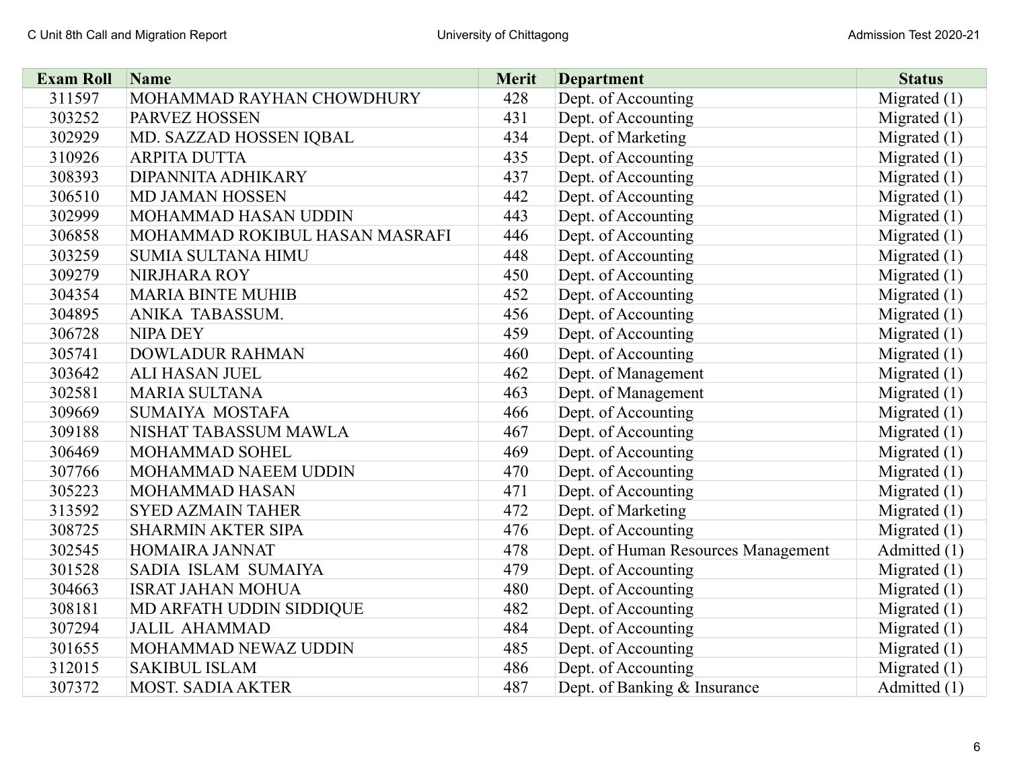| <b>Exam Roll</b> | Name                           | <b>Merit</b> | <b>Department</b>                   | <b>Status</b>  |
|------------------|--------------------------------|--------------|-------------------------------------|----------------|
| 311597           | MOHAMMAD RAYHAN CHOWDHURY      | 428          | Dept. of Accounting                 | Migrated $(1)$ |
| 303252           | PARVEZ HOSSEN                  | 431          | Dept. of Accounting                 | Migrated $(1)$ |
| 302929           | MD. SAZZAD HOSSEN IQBAL        | 434          | Dept. of Marketing                  | Migrated $(1)$ |
| 310926           | <b>ARPITA DUTTA</b>            | 435          | Dept. of Accounting                 | Migrated $(1)$ |
| 308393           | DIPANNITA ADHIKARY             | 437          | Dept. of Accounting                 | Migrated $(1)$ |
| 306510           | <b>MD JAMAN HOSSEN</b>         | 442          | Dept. of Accounting                 | Migrated $(1)$ |
| 302999           | <b>MOHAMMAD HASAN UDDIN</b>    | 443          | Dept. of Accounting                 | Migrated $(1)$ |
| 306858           | MOHAMMAD ROKIBUL HASAN MASRAFI | 446          | Dept. of Accounting                 | Migrated $(1)$ |
| 303259           | <b>SUMIA SULTANA HIMU</b>      | 448          | Dept. of Accounting                 | Migrated $(1)$ |
| 309279           | NIRJHARA ROY                   | 450          | Dept. of Accounting                 | Migrated $(1)$ |
| 304354           | <b>MARIA BINTE MUHIB</b>       | 452          | Dept. of Accounting                 | Migrated $(1)$ |
| 304895           | ANIKA TABASSUM.                | 456          | Dept. of Accounting                 | Migrated $(1)$ |
| 306728           | <b>NIPA DEY</b>                | 459          | Dept. of Accounting                 | Migrated $(1)$ |
| 305741           | <b>DOWLADUR RAHMAN</b>         | 460          | Dept. of Accounting                 | Migrated $(1)$ |
| 303642           | ALI HASAN JUEL                 | 462          | Dept. of Management                 | Migrated $(1)$ |
| 302581           | <b>MARIA SULTANA</b>           | 463          | Dept. of Management                 | Migrated $(1)$ |
| 309669           | <b>SUMAIYA MOSTAFA</b>         | 466          | Dept. of Accounting                 | Migrated (1)   |
| 309188           | NISHAT TABASSUM MAWLA          | 467          | Dept. of Accounting                 | Migrated $(1)$ |
| 306469           | MOHAMMAD SOHEL                 | 469          | Dept. of Accounting                 | Migrated $(1)$ |
| 307766           | MOHAMMAD NAEEM UDDIN           | 470          | Dept. of Accounting                 | Migrated $(1)$ |
| 305223           | MOHAMMAD HASAN                 | 471          | Dept. of Accounting                 | Migrated $(1)$ |
| 313592           | <b>SYED AZMAIN TAHER</b>       | 472          | Dept. of Marketing                  | Migrated $(1)$ |
| 308725           | <b>SHARMIN AKTER SIPA</b>      | 476          | Dept. of Accounting                 | Migrated $(1)$ |
| 302545           | HOMAIRA JANNAT                 | 478          | Dept. of Human Resources Management | Admitted (1)   |
| 301528           | SADIA ISLAM SUMAIYA            | 479          | Dept. of Accounting                 | Migrated $(1)$ |
| 304663           | <b>ISRAT JAHAN MOHUA</b>       | 480          | Dept. of Accounting                 | Migrated $(1)$ |
| 308181           | MD ARFATH UDDIN SIDDIQUE       | 482          | Dept. of Accounting                 | Migrated $(1)$ |
| 307294           | <b>JALIL AHAMMAD</b>           | 484          | Dept. of Accounting                 | Migrated $(1)$ |
| 301655           | MOHAMMAD NEWAZ UDDIN           | 485          | Dept. of Accounting                 | Migrated $(1)$ |
| 312015           | <b>SAKIBUL ISLAM</b>           | 486          | Dept. of Accounting                 | Migrated $(1)$ |
| 307372           | <b>MOST. SADIA AKTER</b>       | 487          | Dept. of Banking & Insurance        | Admitted (1)   |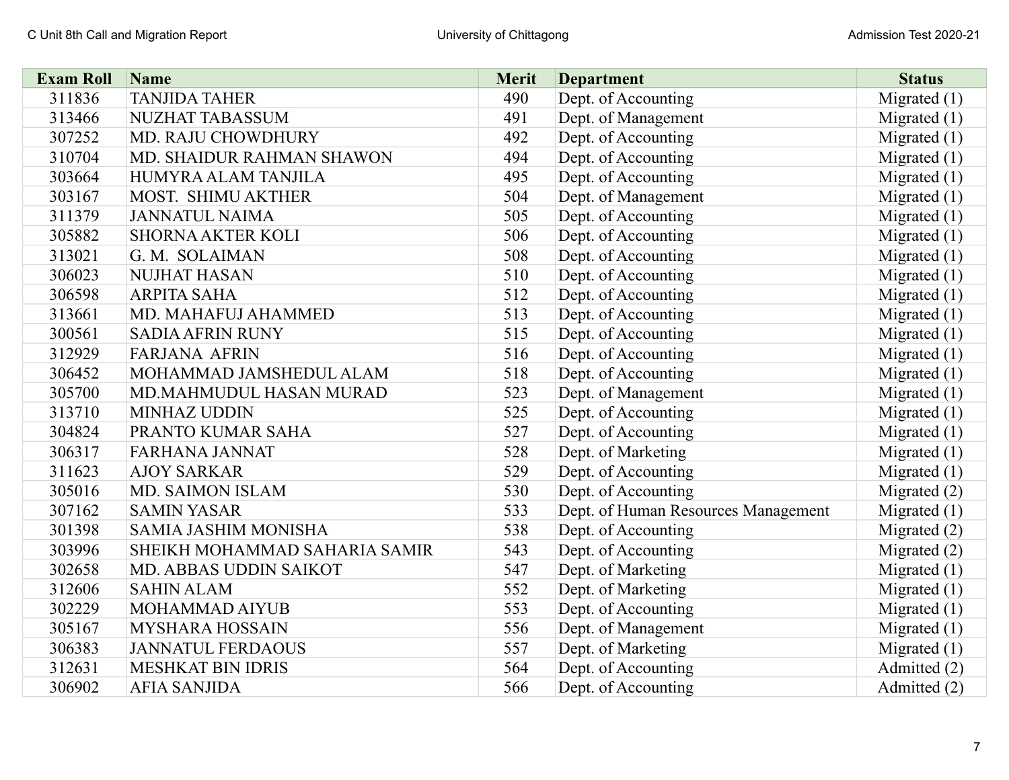| <b>Exam Roll</b> | Name                          | <b>Merit</b> | <b>Department</b>                   | <b>Status</b>  |
|------------------|-------------------------------|--------------|-------------------------------------|----------------|
| 311836           | <b>TANJIDA TAHER</b>          | 490          | Dept. of Accounting                 | Migrated $(1)$ |
| 313466           | <b>NUZHAT TABASSUM</b>        | 491          | Dept. of Management                 | Migrated $(1)$ |
| 307252           | MD. RAJU CHOWDHURY            | 492          | Dept. of Accounting                 | Migrated $(1)$ |
| 310704           | MD. SHAIDUR RAHMAN SHAWON     | 494          | Dept. of Accounting                 | Migrated $(1)$ |
| 303664           | HUMYRA ALAM TANJILA           | 495          | Dept. of Accounting                 | Migrated $(1)$ |
| 303167           | MOST. SHIMU AKTHER            | 504          | Dept. of Management                 | Migrated $(1)$ |
| 311379           | <b>JANNATUL NAIMA</b>         | 505          | Dept. of Accounting                 | Migrated $(1)$ |
| 305882           | <b>SHORNA AKTER KOLI</b>      | 506          | Dept. of Accounting                 | Migrated $(1)$ |
| 313021           | G. M. SOLAIMAN                | 508          | Dept. of Accounting                 | Migrated $(1)$ |
| 306023           | <b>NUJHAT HASAN</b>           | 510          | Dept. of Accounting                 | Migrated $(1)$ |
| 306598           | <b>ARPITA SAHA</b>            | 512          | Dept. of Accounting                 | Migrated $(1)$ |
| 313661           | MD. MAHAFUJ AHAMMED           | 513          | Dept. of Accounting                 | Migrated $(1)$ |
| 300561           | <b>SADIA AFRIN RUNY</b>       | 515          | Dept. of Accounting                 | Migrated $(1)$ |
| 312929           | <b>FARJANA AFRIN</b>          | 516          | Dept. of Accounting                 | Migrated $(1)$ |
| 306452           | MOHAMMAD JAMSHEDUL ALAM       | 518          | Dept. of Accounting                 | Migrated $(1)$ |
| 305700           | MD.MAHMUDUL HASAN MURAD       | 523          | Dept. of Management                 | Migrated $(1)$ |
| 313710           | <b>MINHAZ UDDIN</b>           | 525          | Dept. of Accounting                 | Migrated $(1)$ |
| 304824           | PRANTO KUMAR SAHA             | 527          | Dept. of Accounting                 | Migrated $(1)$ |
| 306317           | <b>FARHANA JANNAT</b>         | 528          | Dept. of Marketing                  | Migrated $(1)$ |
| 311623           | <b>AJOY SARKAR</b>            | 529          | Dept. of Accounting                 | Migrated $(1)$ |
| 305016           | <b>MD. SAIMON ISLAM</b>       | 530          | Dept. of Accounting                 | Migrated $(2)$ |
| 307162           | <b>SAMIN YASAR</b>            | 533          | Dept. of Human Resources Management | Migrated $(1)$ |
| 301398           | <b>SAMIA JASHIM MONISHA</b>   | 538          | Dept. of Accounting                 | Migrated $(2)$ |
| 303996           | SHEIKH MOHAMMAD SAHARIA SAMIR | 543          | Dept. of Accounting                 | Migrated $(2)$ |
| 302658           | MD. ABBAS UDDIN SAIKOT        | 547          | Dept. of Marketing                  | Migrated $(1)$ |
| 312606           | <b>SAHIN ALAM</b>             | 552          | Dept. of Marketing                  | Migrated $(1)$ |
| 302229           | <b>MOHAMMAD AIYUB</b>         | 553          | Dept. of Accounting                 | Migrated $(1)$ |
| 305167           | <b>MYSHARA HOSSAIN</b>        | 556          | Dept. of Management                 | Migrated $(1)$ |
| 306383           | <b>JANNATUL FERDAOUS</b>      | 557          | Dept. of Marketing                  | Migrated $(1)$ |
| 312631           | <b>MESHKAT BIN IDRIS</b>      | 564          | Dept. of Accounting                 | Admitted (2)   |
| 306902           | <b>AFIA SANJIDA</b>           | 566          | Dept. of Accounting                 | Admitted (2)   |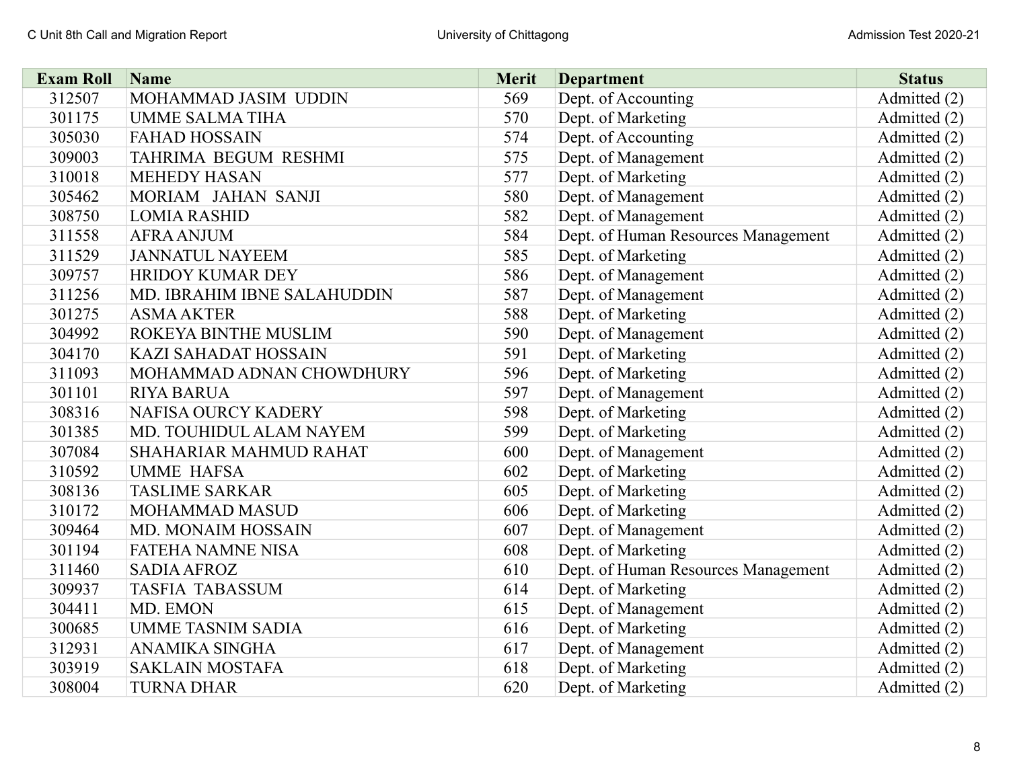| <b>Exam Roll</b> | Name                        | <b>Merit</b> | <b>Department</b>                   | <b>Status</b> |
|------------------|-----------------------------|--------------|-------------------------------------|---------------|
| 312507           | MOHAMMAD JASIM UDDIN        | 569          | Dept. of Accounting                 | Admitted (2)  |
| 301175           | <b>UMME SALMA TIHA</b>      | 570          | Dept. of Marketing                  | Admitted (2)  |
| 305030           | <b>FAHAD HOSSAIN</b>        | 574          | Dept. of Accounting                 | Admitted (2)  |
| 309003           | TAHRIMA BEGUM RESHMI        | 575          | Dept. of Management                 | Admitted (2)  |
| 310018           | <b>MEHEDY HASAN</b>         | 577          | Dept. of Marketing                  | Admitted (2)  |
| 305462           | MORIAM JAHAN SANJI          | 580          | Dept. of Management                 | Admitted (2)  |
| 308750           | <b>LOMIA RASHID</b>         | 582          | Dept. of Management                 | Admitted (2)  |
| 311558           | <b>AFRA ANJUM</b>           | 584          | Dept. of Human Resources Management | Admitted (2)  |
| 311529           | <b>JANNATUL NAYEEM</b>      | 585          | Dept. of Marketing                  | Admitted (2)  |
| 309757           | <b>HRIDOY KUMAR DEY</b>     | 586          | Dept. of Management                 | Admitted (2)  |
| 311256           | MD. IBRAHIM IBNE SALAHUDDIN | 587          | Dept. of Management                 | Admitted (2)  |
| 301275           | <b>ASMA AKTER</b>           | 588          | Dept. of Marketing                  | Admitted (2)  |
| 304992           | ROKEYA BINTHE MUSLIM        | 590          | Dept. of Management                 | Admitted (2)  |
| 304170           | <b>KAZI SAHADAT HOSSAIN</b> | 591          | Dept. of Marketing                  | Admitted (2)  |
| 311093           | MOHAMMAD ADNAN CHOWDHURY    | 596          | Dept. of Marketing                  | Admitted (2)  |
| 301101           | <b>RIYA BARUA</b>           | 597          | Dept. of Management                 | Admitted (2)  |
| 308316           | <b>NAFISA OURCY KADERY</b>  | 598          | Dept. of Marketing                  | Admitted (2)  |
| 301385           | MD. TOUHIDUL ALAM NAYEM     | 599          | Dept. of Marketing                  | Admitted (2)  |
| 307084           | SHAHARIAR MAHMUD RAHAT      | 600          | Dept. of Management                 | Admitted (2)  |
| 310592           | <b>UMME HAFSA</b>           | 602          | Dept. of Marketing                  | Admitted (2)  |
| 308136           | <b>TASLIME SARKAR</b>       | 605          | Dept. of Marketing                  | Admitted (2)  |
| 310172           | <b>MOHAMMAD MASUD</b>       | 606          | Dept. of Marketing                  | Admitted (2)  |
| 309464           | <b>MD. MONAIM HOSSAIN</b>   | 607          | Dept. of Management                 | Admitted (2)  |
| 301194           | <b>FATEHA NAMNE NISA</b>    | 608          | Dept. of Marketing                  | Admitted (2)  |
| 311460           | <b>SADIA AFROZ</b>          | 610          | Dept. of Human Resources Management | Admitted (2)  |
| 309937           | <b>TASFIA TABASSUM</b>      | 614          | Dept. of Marketing                  | Admitted (2)  |
| 304411           | MD. EMON                    | 615          | Dept. of Management                 | Admitted (2)  |
| 300685           | <b>UMME TASNIM SADIA</b>    | 616          | Dept. of Marketing                  | Admitted (2)  |
| 312931           | ANAMIKA SINGHA              | 617          | Dept. of Management                 | Admitted (2)  |
| 303919           | <b>SAKLAIN MOSTAFA</b>      | 618          | Dept. of Marketing                  | Admitted (2)  |
| 308004           | <b>TURNA DHAR</b>           | 620          | Dept. of Marketing                  | Admitted (2)  |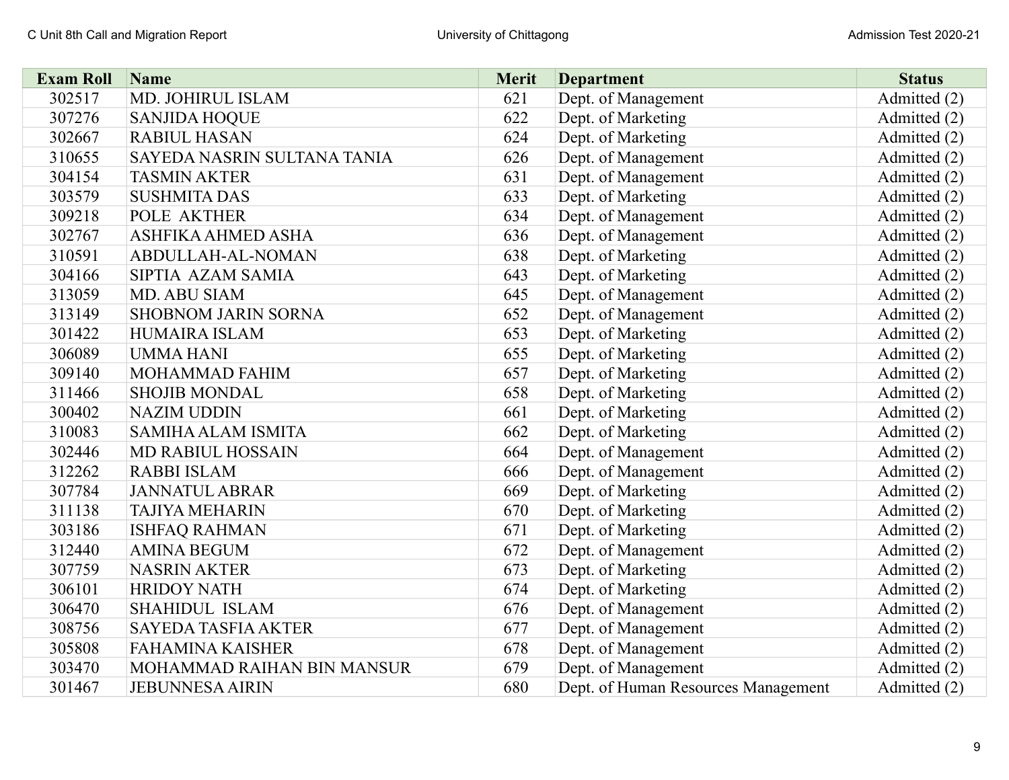| <b>Exam Roll</b> | Name                        | <b>Merit</b> | <b>Department</b>                   | <b>Status</b> |
|------------------|-----------------------------|--------------|-------------------------------------|---------------|
| 302517           | MD. JOHIRUL ISLAM           | 621          | Dept. of Management                 | Admitted (2)  |
| 307276           | <b>SANJIDA HOQUE</b>        | 622          | Dept. of Marketing                  | Admitted (2)  |
| 302667           | <b>RABIUL HASAN</b>         | 624          | Dept. of Marketing                  | Admitted (2)  |
| 310655           | SAYEDA NASRIN SULTANA TANIA | 626          | Dept. of Management                 | Admitted (2)  |
| 304154           | <b>TASMIN AKTER</b>         | 631          | Dept. of Management                 | Admitted (2)  |
| 303579           | <b>SUSHMITA DAS</b>         | 633          | Dept. of Marketing                  | Admitted (2)  |
| 309218           | <b>POLE AKTHER</b>          | 634          | Dept. of Management                 | Admitted (2)  |
| 302767           | ASHFIKA AHMED ASHA          | 636          | Dept. of Management                 | Admitted (2)  |
| 310591           | ABDULLAH-AL-NOMAN           | 638          | Dept. of Marketing                  | Admitted (2)  |
| 304166           | SIPTIA AZAM SAMIA           | 643          | Dept. of Marketing                  | Admitted (2)  |
| 313059           | MD. ABU SIAM                | 645          | Dept. of Management                 | Admitted (2)  |
| 313149           | <b>SHOBNOM JARIN SORNA</b>  | 652          | Dept. of Management                 | Admitted (2)  |
| 301422           | <b>HUMAIRA ISLAM</b>        | 653          | Dept. of Marketing                  | Admitted (2)  |
| 306089           | <b>UMMAHANI</b>             | 655          | Dept. of Marketing                  | Admitted (2)  |
| 309140           | MOHAMMAD FAHIM              | 657          | Dept. of Marketing                  | Admitted (2)  |
| 311466           | <b>SHOJIB MONDAL</b>        | 658          | Dept. of Marketing                  | Admitted (2)  |
| 300402           | <b>NAZIM UDDIN</b>          | 661          | Dept. of Marketing                  | Admitted (2)  |
| 310083           | <b>SAMIHA ALAM ISMITA</b>   | 662          | Dept. of Marketing                  | Admitted (2)  |
| 302446           | <b>MD RABIUL HOSSAIN</b>    | 664          | Dept. of Management                 | Admitted (2)  |
| 312262           | <b>RABBI ISLAM</b>          | 666          | Dept. of Management                 | Admitted (2)  |
| 307784           | <b>JANNATUL ABRAR</b>       | 669          | Dept. of Marketing                  | Admitted (2)  |
| 311138           | <b>TAJIYA MEHARIN</b>       | 670          | Dept. of Marketing                  | Admitted (2)  |
| 303186           | <b>ISHFAQ RAHMAN</b>        | 671          | Dept. of Marketing                  | Admitted (2)  |
| 312440           | <b>AMINA BEGUM</b>          | 672          | Dept. of Management                 | Admitted (2)  |
| 307759           | <b>NASRIN AKTER</b>         | 673          | Dept. of Marketing                  | Admitted (2)  |
| 306101           | <b>HRIDOY NATH</b>          | 674          | Dept. of Marketing                  | Admitted (2)  |
| 306470           | <b>SHAHIDUL ISLAM</b>       | 676          | Dept. of Management                 | Admitted (2)  |
| 308756           | <b>SAYEDA TASFIA AKTER</b>  | 677          | Dept. of Management                 | Admitted (2)  |
| 305808           | <b>FAHAMINA KAISHER</b>     | 678          | Dept. of Management                 | Admitted (2)  |
| 303470           | MOHAMMAD RAIHAN BIN MANSUR  | 679          | Dept. of Management                 | Admitted (2)  |
| 301467           | <b>JEBUNNESA AIRIN</b>      | 680          | Dept. of Human Resources Management | Admitted (2)  |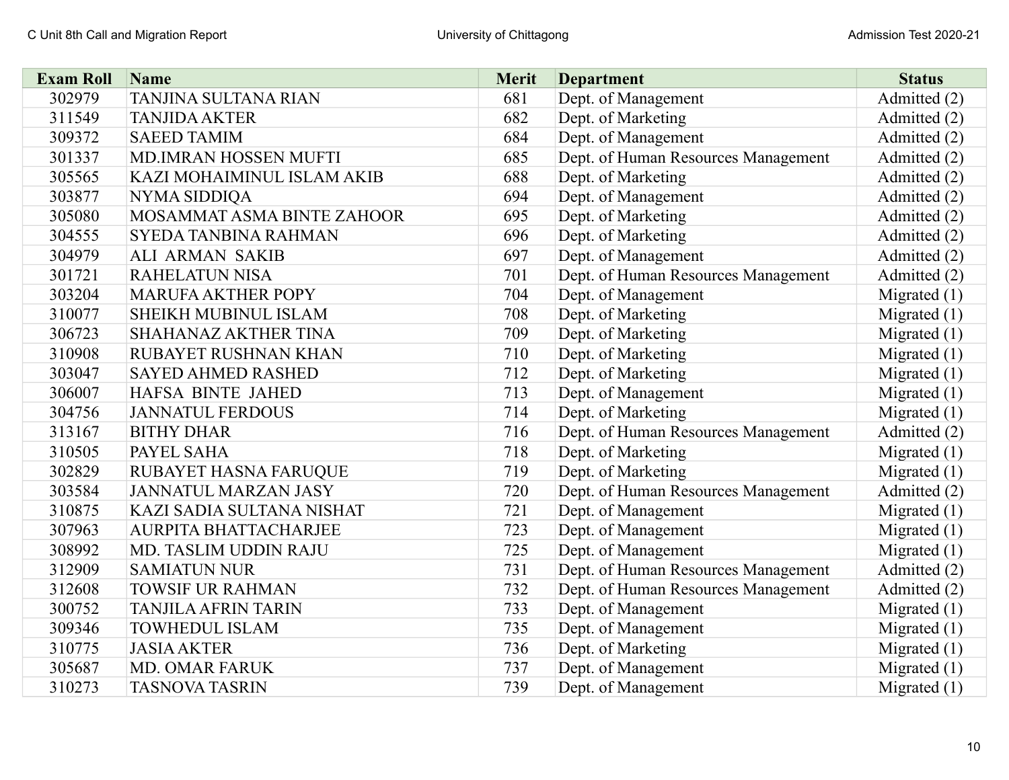| <b>Exam Roll</b> | Name                         | <b>Merit</b> | <b>Department</b>                   | <b>Status</b>  |
|------------------|------------------------------|--------------|-------------------------------------|----------------|
| 302979           | <b>TANJINA SULTANA RIAN</b>  | 681          | Dept. of Management                 | Admitted (2)   |
| 311549           | <b>TANJIDA AKTER</b>         | 682          | Dept. of Marketing                  | Admitted (2)   |
| 309372           | <b>SAEED TAMIM</b>           | 684          | Dept. of Management                 | Admitted (2)   |
| 301337           | MD.IMRAN HOSSEN MUFTI        | 685          | Dept. of Human Resources Management | Admitted (2)   |
| 305565           | KAZI MOHAIMINUL ISLAM AKIB   | 688          | Dept. of Marketing                  | Admitted (2)   |
| 303877           | NYMA SIDDIQA                 | 694          | Dept. of Management                 | Admitted (2)   |
| 305080           | MOSAMMAT ASMA BINTE ZAHOOR   | 695          | Dept. of Marketing                  | Admitted (2)   |
| 304555           | <b>SYEDA TANBINA RAHMAN</b>  | 696          | Dept. of Marketing                  | Admitted (2)   |
| 304979           | <b>ALI ARMAN SAKIB</b>       | 697          | Dept. of Management                 | Admitted (2)   |
| 301721           | <b>RAHELATUN NISA</b>        | 701          | Dept. of Human Resources Management | Admitted (2)   |
| 303204           | <b>MARUFA AKTHER POPY</b>    | 704          | Dept. of Management                 | Migrated $(1)$ |
| 310077           | SHEIKH MUBINUL ISLAM         | 708          | Dept. of Marketing                  | Migrated $(1)$ |
| 306723           | SHAHANAZ AKTHER TINA         | 709          | Dept. of Marketing                  | Migrated $(1)$ |
| 310908           | RUBAYET RUSHNAN KHAN         | 710          | Dept. of Marketing                  | Migrated $(1)$ |
| 303047           | <b>SAYED AHMED RASHED</b>    | 712          | Dept. of Marketing                  | Migrated $(1)$ |
| 306007           | HAFSA BINTE JAHED            | 713          | Dept. of Management                 | Migrated $(1)$ |
| 304756           | <b>JANNATUL FERDOUS</b>      | 714          | Dept. of Marketing                  | Migrated $(1)$ |
| 313167           | <b>BITHY DHAR</b>            | 716          | Dept. of Human Resources Management | Admitted (2)   |
| 310505           | PAYEL SAHA                   | 718          | Dept. of Marketing                  | Migrated $(1)$ |
| 302829           | RUBAYET HASNA FARUQUE        | 719          | Dept. of Marketing                  | Migrated $(1)$ |
| 303584           | <b>JANNATUL MARZAN JASY</b>  | 720          | Dept. of Human Resources Management | Admitted (2)   |
| 310875           | KAZI SADIA SULTANA NISHAT    | 721          | Dept. of Management                 | Migrated $(1)$ |
| 307963           | <b>AURPITA BHATTACHARJEE</b> | 723          | Dept. of Management                 | Migrated $(1)$ |
| 308992           | MD. TASLIM UDDIN RAJU        | 725          | Dept. of Management                 | Migrated $(1)$ |
| 312909           | <b>SAMIATUN NUR</b>          | 731          | Dept. of Human Resources Management | Admitted (2)   |
| 312608           | <b>TOWSIF UR RAHMAN</b>      | 732          | Dept. of Human Resources Management | Admitted (2)   |
| 300752           | <b>TANJILA AFRIN TARIN</b>   | 733          | Dept. of Management                 | Migrated $(1)$ |
| 309346           | <b>TOWHEDUL ISLAM</b>        | 735          | Dept. of Management                 | Migrated $(1)$ |
| 310775           | <b>JASIA AKTER</b>           | 736          | Dept. of Marketing                  | Migrated $(1)$ |
| 305687           | <b>MD. OMAR FARUK</b>        | 737          | Dept. of Management                 | Migrated (1)   |
| 310273           | <b>TASNOVA TASRIN</b>        | 739          | Dept. of Management                 | Migrated $(1)$ |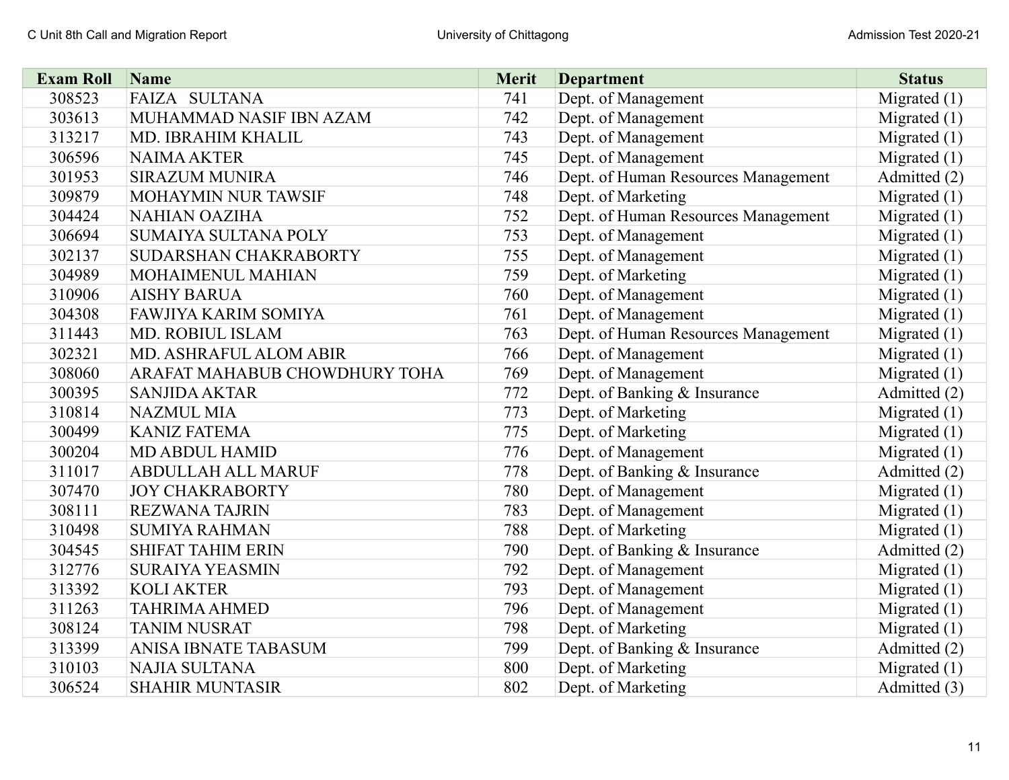| <b>Exam Roll</b> | Name                          | <b>Merit</b> | <b>Department</b>                   | <b>Status</b>  |
|------------------|-------------------------------|--------------|-------------------------------------|----------------|
| 308523           | <b>FAIZA SULTANA</b>          | 741          | Dept. of Management                 | Migrated $(1)$ |
| 303613           | MUHAMMAD NASIF IBN AZAM       | 742          | Dept. of Management                 | Migrated $(1)$ |
| 313217           | MD. IBRAHIM KHALIL            | 743          | Dept. of Management                 | Migrated $(1)$ |
| 306596           | <b>NAIMA AKTER</b>            | 745          | Dept. of Management                 | Migrated $(1)$ |
| 301953           | <b>SIRAZUM MUNIRA</b>         | 746          | Dept. of Human Resources Management | Admitted (2)   |
| 309879           | MOHAYMIN NUR TAWSIF           | 748          | Dept. of Marketing                  | Migrated $(1)$ |
| 304424           | <b>NAHIAN OAZIHA</b>          | 752          | Dept. of Human Resources Management | Migrated $(1)$ |
| 306694           | SUMAIYA SULTANA POLY          | 753          | Dept. of Management                 | Migrated $(1)$ |
| 302137           | SUDARSHAN CHAKRABORTY         | 755          | Dept. of Management                 | Migrated (1)   |
| 304989           | MOHAIMENUL MAHIAN             | 759          | Dept. of Marketing                  | Migrated $(1)$ |
| 310906           | <b>AISHY BARUA</b>            | 760          | Dept. of Management                 | Migrated $(1)$ |
| 304308           | FAWJIYA KARIM SOMIYA          | 761          | Dept. of Management                 | Migrated $(1)$ |
| 311443           | <b>MD. ROBIUL ISLAM</b>       | 763          | Dept. of Human Resources Management | Migrated $(1)$ |
| 302321           | MD. ASHRAFUL ALOM ABIR        | 766          | Dept. of Management                 | Migrated $(1)$ |
| 308060           | ARAFAT MAHABUB CHOWDHURY TOHA | 769          | Dept. of Management                 | Migrated $(1)$ |
| 300395           | <b>SANJIDA AKTAR</b>          | 772          | Dept. of Banking & Insurance        | Admitted (2)   |
| 310814           | <b>NAZMUL MIA</b>             | 773          | Dept. of Marketing                  | Migrated $(1)$ |
| 300499           | <b>KANIZ FATEMA</b>           | 775          | Dept. of Marketing                  | Migrated $(1)$ |
| 300204           | <b>MD ABDUL HAMID</b>         | 776          | Dept. of Management                 | Migrated $(1)$ |
| 311017           | <b>ABDULLAH ALL MARUF</b>     | 778          | Dept. of Banking & Insurance        | Admitted (2)   |
| 307470           | <b>JOY CHAKRABORTY</b>        | 780          | Dept. of Management                 | Migrated $(1)$ |
| 308111           | <b>REZWANA TAJRIN</b>         | 783          | Dept. of Management                 | Migrated $(1)$ |
| 310498           | <b>SUMIYA RAHMAN</b>          | 788          | Dept. of Marketing                  | Migrated $(1)$ |
| 304545           | <b>SHIFAT TAHIM ERIN</b>      | 790          | Dept. of Banking & Insurance        | Admitted (2)   |
| 312776           | <b>SURAIYA YEASMIN</b>        | 792          | Dept. of Management                 | Migrated $(1)$ |
| 313392           | <b>KOLI AKTER</b>             | 793          | Dept. of Management                 | Migrated $(1)$ |
| 311263           | <b>TAHRIMA AHMED</b>          | 796          | Dept. of Management                 | Migrated $(1)$ |
| 308124           | <b>TANIM NUSRAT</b>           | 798          | Dept. of Marketing                  | Migrated $(1)$ |
| 313399           | ANISA IBNATE TABASUM          | 799          | Dept. of Banking & Insurance        | Admitted (2)   |
| 310103           | <b>NAJIA SULTANA</b>          | 800          | Dept. of Marketing                  | Migrated $(1)$ |
| 306524           | <b>SHAHIR MUNTASIR</b>        | 802          | Dept. of Marketing                  | Admitted (3)   |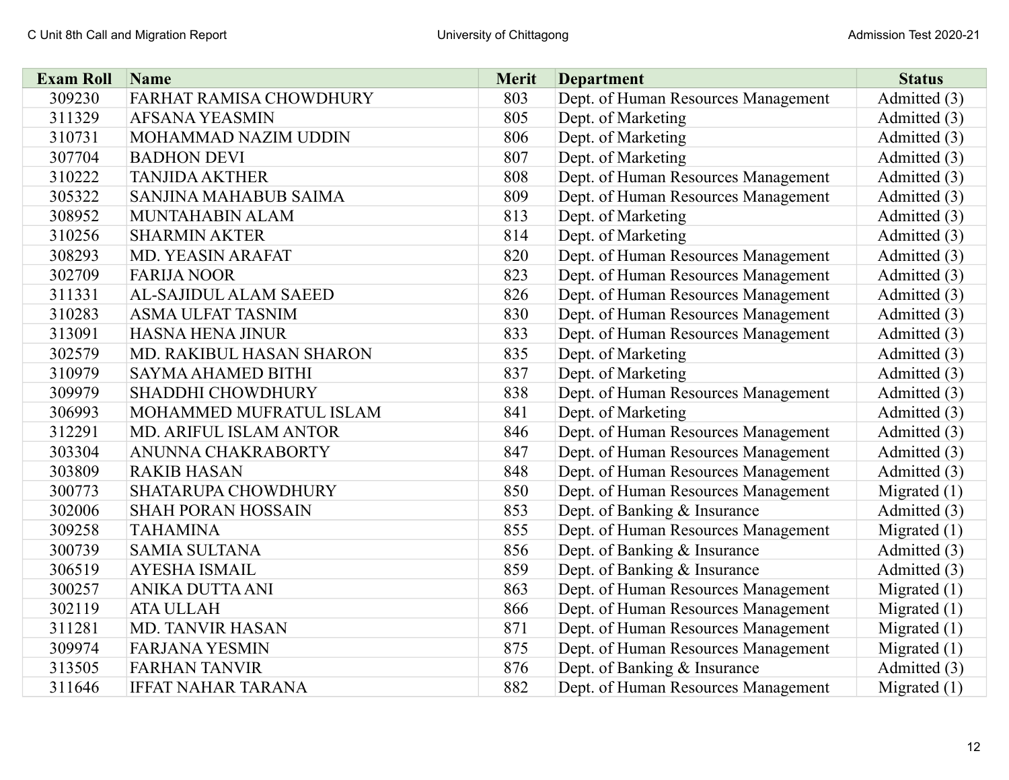| <b>Exam Roll</b> | Name                          | Merit | <b>Department</b>                   | <b>Status</b>  |
|------------------|-------------------------------|-------|-------------------------------------|----------------|
| 309230           | FARHAT RAMISA CHOWDHURY       | 803   | Dept. of Human Resources Management | Admitted (3)   |
| 311329           | <b>AFSANA YEASMIN</b>         | 805   | Dept. of Marketing                  | Admitted (3)   |
| 310731           | MOHAMMAD NAZIM UDDIN          | 806   | Dept. of Marketing                  | Admitted (3)   |
| 307704           | <b>BADHON DEVI</b>            | 807   | Dept. of Marketing                  | Admitted (3)   |
| 310222           | <b>TANJIDA AKTHER</b>         | 808   | Dept. of Human Resources Management | Admitted (3)   |
| 305322           | <b>SANJINA MAHABUB SAIMA</b>  | 809   | Dept. of Human Resources Management | Admitted (3)   |
| 308952           | MUNTAHABIN ALAM               | 813   | Dept. of Marketing                  | Admitted (3)   |
| 310256           | <b>SHARMIN AKTER</b>          | 814   | Dept. of Marketing                  | Admitted (3)   |
| 308293           | MD. YEASIN ARAFAT             | 820   | Dept. of Human Resources Management | Admitted (3)   |
| 302709           | <b>FARIJA NOOR</b>            | 823   | Dept. of Human Resources Management | Admitted (3)   |
| 311331           | <b>AL-SAJIDUL ALAM SAEED</b>  | 826   | Dept. of Human Resources Management | Admitted (3)   |
| 310283           | <b>ASMA ULFAT TASNIM</b>      | 830   | Dept. of Human Resources Management | Admitted (3)   |
| 313091           | <b>HASNA HENA JINUR</b>       | 833   | Dept. of Human Resources Management | Admitted (3)   |
| 302579           | MD. RAKIBUL HASAN SHARON      | 835   | Dept. of Marketing                  | Admitted (3)   |
| 310979           | <b>SAYMA AHAMED BITHI</b>     | 837   | Dept. of Marketing                  | Admitted (3)   |
| 309979           | <b>SHADDHI CHOWDHURY</b>      | 838   | Dept. of Human Resources Management | Admitted (3)   |
| 306993           | MOHAMMED MUFRATUL ISLAM       | 841   | Dept. of Marketing                  | Admitted (3)   |
| 312291           | <b>MD. ARIFUL ISLAM ANTOR</b> | 846   | Dept. of Human Resources Management | Admitted (3)   |
| 303304           | ANUNNA CHAKRABORTY            | 847   | Dept. of Human Resources Management | Admitted (3)   |
| 303809           | <b>RAKIB HASAN</b>            | 848   | Dept. of Human Resources Management | Admitted (3)   |
| 300773           | <b>SHATARUPA CHOWDHURY</b>    | 850   | Dept. of Human Resources Management | Migrated $(1)$ |
| 302006           | <b>SHAH PORAN HOSSAIN</b>     | 853   | Dept. of Banking & Insurance        | Admitted (3)   |
| 309258           | <b>TAHAMINA</b>               | 855   | Dept. of Human Resources Management | Migrated $(1)$ |
| 300739           | <b>SAMIA SULTANA</b>          | 856   | Dept. of Banking & Insurance        | Admitted (3)   |
| 306519           | <b>AYESHA ISMAIL</b>          | 859   | Dept. of Banking & Insurance        | Admitted (3)   |
| 300257           | ANIKA DUTTA ANI               | 863   | Dept. of Human Resources Management | Migrated $(1)$ |
| 302119           | <b>ATA ULLAH</b>              | 866   | Dept. of Human Resources Management | Migrated $(1)$ |
| 311281           | <b>MD. TANVIR HASAN</b>       | 871   | Dept. of Human Resources Management | Migrated $(1)$ |
| 309974           | <b>FARJANA YESMIN</b>         | 875   | Dept. of Human Resources Management | Migrated $(1)$ |
| 313505           | <b>FARHAN TANVIR</b>          | 876   | Dept. of Banking & Insurance        | Admitted (3)   |
| 311646           | <b>IFFAT NAHAR TARANA</b>     | 882   | Dept. of Human Resources Management | Migrated $(1)$ |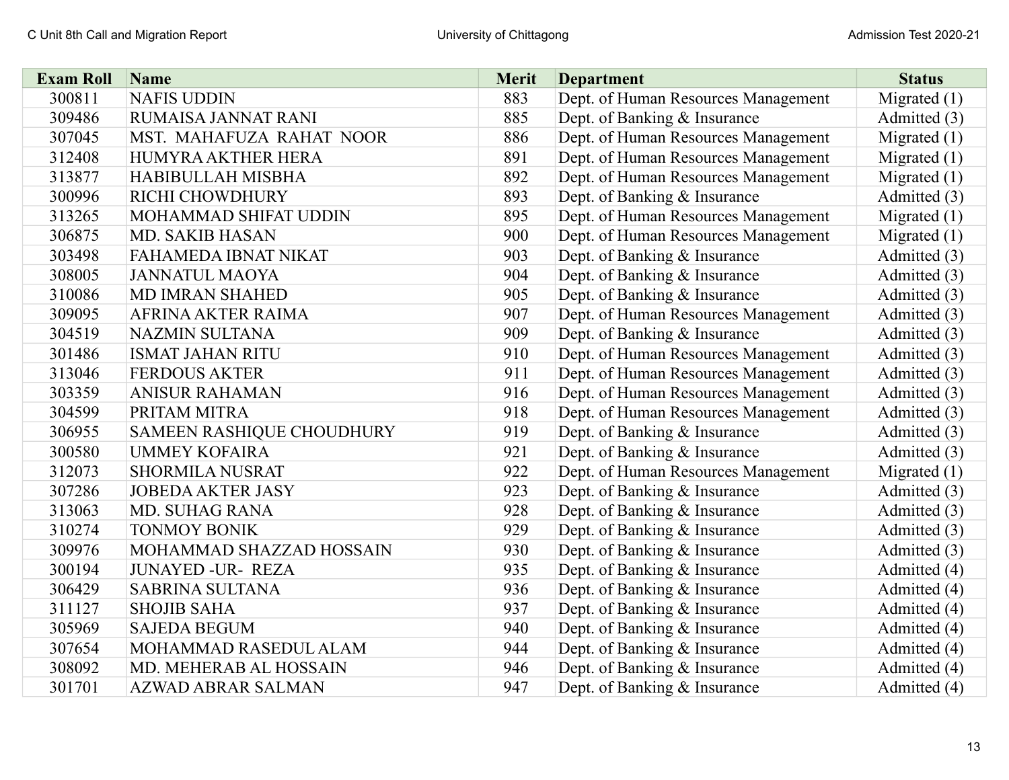| <b>Exam Roll</b> | Name                      | <b>Merit</b> | <b>Department</b>                   | <b>Status</b>  |
|------------------|---------------------------|--------------|-------------------------------------|----------------|
| 300811           | <b>NAFIS UDDIN</b>        | 883          | Dept. of Human Resources Management | Migrated $(1)$ |
| 309486           | RUMAISA JANNAT RANI       | 885          | Dept. of Banking & Insurance        | Admitted (3)   |
| 307045           | MST. MAHAFUZA RAHAT NOOR  | 886          | Dept. of Human Resources Management | Migrated $(1)$ |
| 312408           | HUMYRA AKTHER HERA        | 891          | Dept. of Human Resources Management | Migrated $(1)$ |
| 313877           | <b>HABIBULLAH MISBHA</b>  | 892          | Dept. of Human Resources Management | Migrated $(1)$ |
| 300996           | RICHI CHOWDHURY           | 893          | Dept. of Banking & Insurance        | Admitted (3)   |
| 313265           | MOHAMMAD SHIFAT UDDIN     | 895          | Dept. of Human Resources Management | Migrated $(1)$ |
| 306875           | <b>MD. SAKIB HASAN</b>    | 900          | Dept. of Human Resources Management | Migrated $(1)$ |
| 303498           | FAHAMEDA IBNAT NIKAT      | 903          | Dept. of Banking & Insurance        | Admitted (3)   |
| 308005           | <b>JANNATUL MAOYA</b>     | 904          | Dept. of Banking & Insurance        | Admitted (3)   |
| 310086           | <b>MD IMRAN SHAHED</b>    | 905          | Dept. of Banking & Insurance        | Admitted (3)   |
| 309095           | AFRINA AKTER RAIMA        | 907          | Dept. of Human Resources Management | Admitted (3)   |
| 304519           | <b>NAZMIN SULTANA</b>     | 909          | Dept. of Banking & Insurance        | Admitted (3)   |
| 301486           | <b>ISMAT JAHAN RITU</b>   | 910          | Dept. of Human Resources Management | Admitted (3)   |
| 313046           | <b>FERDOUS AKTER</b>      | 911          | Dept. of Human Resources Management | Admitted (3)   |
| 303359           | <b>ANISUR RAHAMAN</b>     | 916          | Dept. of Human Resources Management | Admitted (3)   |
| 304599           | PRITAM MITRA              | 918          | Dept. of Human Resources Management | Admitted (3)   |
| 306955           | SAMEEN RASHIQUE CHOUDHURY | 919          | Dept. of Banking & Insurance        | Admitted (3)   |
| 300580           | <b>UMMEY KOFAIRA</b>      | 921          | Dept. of Banking & Insurance        | Admitted (3)   |
| 312073           | <b>SHORMILA NUSRAT</b>    | 922          | Dept. of Human Resources Management | Migrated $(1)$ |
| 307286           | <b>JOBEDA AKTER JASY</b>  | 923          | Dept. of Banking & Insurance        | Admitted (3)   |
| 313063           | <b>MD. SUHAG RANA</b>     | 928          | Dept. of Banking & Insurance        | Admitted (3)   |
| 310274           | <b>TONMOY BONIK</b>       | 929          | Dept. of Banking & Insurance        | Admitted (3)   |
| 309976           | MOHAMMAD SHAZZAD HOSSAIN  | 930          | Dept. of Banking & Insurance        | Admitted (3)   |
| 300194           | <b>JUNAYED -UR- REZA</b>  | 935          | Dept. of Banking & Insurance        | Admitted (4)   |
| 306429           | <b>SABRINA SULTANA</b>    | 936          | Dept. of Banking & Insurance        | Admitted (4)   |
| 311127           | <b>SHOJIB SAHA</b>        | 937          | Dept. of Banking & Insurance        | Admitted (4)   |
| 305969           | <b>SAJEDA BEGUM</b>       | 940          | Dept. of Banking & Insurance        | Admitted (4)   |
| 307654           | MOHAMMAD RASEDUL ALAM     | 944          | Dept. of Banking & Insurance        | Admitted (4)   |
| 308092           | MD. MEHERAB AL HOSSAIN    | 946          | Dept. of Banking & Insurance        | Admitted (4)   |
| 301701           | <b>AZWAD ABRAR SALMAN</b> | 947          | Dept. of Banking & Insurance        | Admitted (4)   |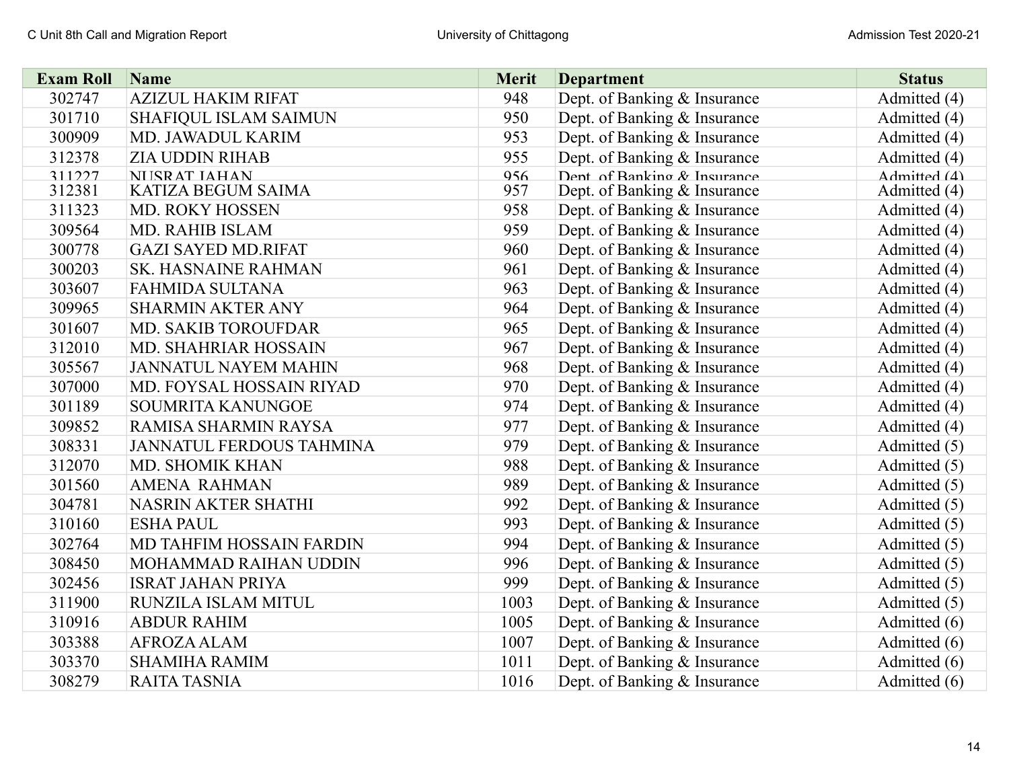| <b>Exam Roll</b> | Name                            | <b>Merit</b> | <b>Department</b>            | <b>Status</b> |
|------------------|---------------------------------|--------------|------------------------------|---------------|
| 302747           | <b>AZIZUL HAKIM RIFAT</b>       | 948          | Dept. of Banking & Insurance | Admitted (4)  |
| 301710           | SHAFIQUL ISLAM SAIMUN           | 950          | Dept. of Banking & Insurance | Admitted (4)  |
| 300909           | MD. JAWADUL KARIM               | 953          | Dept. of Banking & Insurance | Admitted (4)  |
| 312378           | <b>ZIA UDDIN RIHAB</b>          | 955          | Dept. of Banking & Insurance | Admitted (4)  |
| 311227           | NI ISR AT IAHAN                 | 956          | Dent of Banking & Insurance  | Admitted (4)  |
| 312381           | KATIZA BEGUM SAIMA              | 957          | Dept. of Banking & Insurance | Admitted (4)  |
| 311323           | MD. ROKY HOSSEN                 | 958          | Dept. of Banking & Insurance | Admitted (4)  |
| 309564           | <b>MD. RAHIB ISLAM</b>          | 959          | Dept. of Banking & Insurance | Admitted (4)  |
| 300778           | <b>GAZI SAYED MD.RIFAT</b>      | 960          | Dept. of Banking & Insurance | Admitted (4)  |
| 300203           | SK. HASNAINE RAHMAN             | 961          | Dept. of Banking & Insurance | Admitted (4)  |
| 303607           | <b>FAHMIDA SULTANA</b>          | 963          | Dept. of Banking & Insurance | Admitted (4)  |
| 309965           | <b>SHARMIN AKTER ANY</b>        | 964          | Dept. of Banking & Insurance | Admitted (4)  |
| 301607           | <b>MD. SAKIB TOROUFDAR</b>      | 965          | Dept. of Banking & Insurance | Admitted (4)  |
| 312010           | MD. SHAHRIAR HOSSAIN            | 967          | Dept. of Banking & Insurance | Admitted (4)  |
| 305567           | <b>JANNATUL NAYEM MAHIN</b>     | 968          | Dept. of Banking & Insurance | Admitted (4)  |
| 307000           | MD. FOYSAL HOSSAIN RIYAD        | 970          | Dept. of Banking & Insurance | Admitted (4)  |
| 301189           | SOUMRITA KANUNGOE               | 974          | Dept. of Banking & Insurance | Admitted (4)  |
| 309852           | RAMISA SHARMIN RAYSA            | 977          | Dept. of Banking & Insurance | Admitted (4)  |
| 308331           | <b>JANNATUL FERDOUS TAHMINA</b> | 979          | Dept. of Banking & Insurance | Admitted (5)  |
| 312070           | MD. SHOMIK KHAN                 | 988          | Dept. of Banking & Insurance | Admitted (5)  |
| 301560           | <b>AMENA RAHMAN</b>             | 989          | Dept. of Banking & Insurance | Admitted (5)  |
| 304781           | NASRIN AKTER SHATHI             | 992          | Dept. of Banking & Insurance | Admitted (5)  |
| 310160           | <b>ESHA PAUL</b>                | 993          | Dept. of Banking & Insurance | Admitted (5)  |
| 302764           | MD TAHFIM HOSSAIN FARDIN        | 994          | Dept. of Banking & Insurance | Admitted (5)  |
| 308450           | MOHAMMAD RAIHAN UDDIN           | 996          | Dept. of Banking & Insurance | Admitted (5)  |
| 302456           | <b>ISRAT JAHAN PRIYA</b>        | 999          | Dept. of Banking & Insurance | Admitted (5)  |
| 311900           | RUNZILA ISLAM MITUL             | 1003         | Dept. of Banking & Insurance | Admitted (5)  |
| 310916           | <b>ABDUR RAHIM</b>              | 1005         | Dept. of Banking & Insurance | Admitted (6)  |
| 303388           | <b>AFROZA ALAM</b>              | 1007         | Dept. of Banking & Insurance | Admitted (6)  |
| 303370           | <b>SHAMIHA RAMIM</b>            | 1011         | Dept. of Banking & Insurance | Admitted (6)  |
| 308279           | <b>RAITA TASNIA</b>             | 1016         | Dept. of Banking & Insurance | Admitted (6)  |